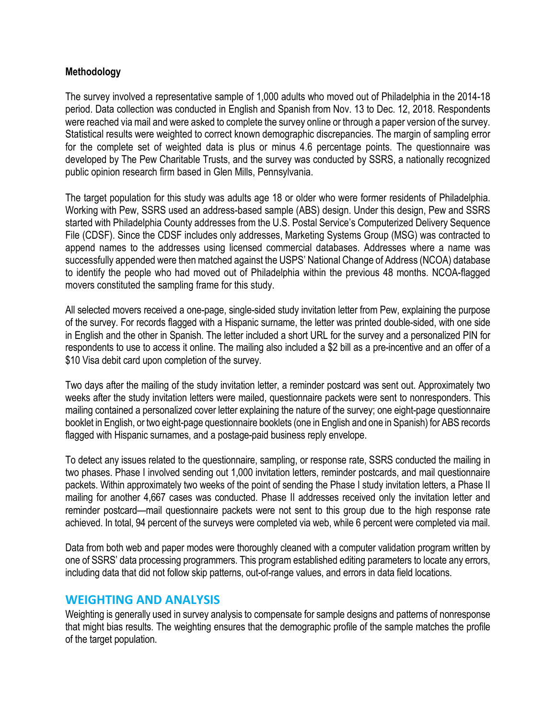### **Methodology**

The survey involved a representative sample of 1,000 adults who moved out of Philadelphia in the 2014-18 period. Data collection was conducted in English and Spanish from Nov. 13 to Dec. 12, 2018. Respondents were reached via mail and were asked to complete the survey online or through a paper version of the survey. Statistical results were weighted to correct known demographic discrepancies. The margin of sampling error for the complete set of weighted data is plus or minus 4.6 percentage points. The questionnaire was developed by The Pew Charitable Trusts, and the survey was conducted by SSRS, a nationally recognized public opinion research firm based in Glen Mills, Pennsylvania.

The target population for this study was adults age 18 or older who were former residents of Philadelphia. Working with Pew, SSRS used an address-based sample (ABS) design. Under this design, Pew and SSRS started with Philadelphia County addresses from the U.S. Postal Service's Computerized Delivery Sequence File (CDSF). Since the CDSF includes only addresses, Marketing Systems Group (MSG) was contracted to append names to the addresses using licensed commercial databases. Addresses where a name was successfully appended were then matched against the USPS' National Change of Address (NCOA) database to identify the people who had moved out of Philadelphia within the previous 48 months. NCOA-flagged movers constituted the sampling frame for this study.

All selected movers received a one-page, single-sided study invitation letter from Pew, explaining the purpose of the survey. For records flagged with a Hispanic surname, the letter was printed double-sided, with one side in English and the other in Spanish. The letter included a short URL for the survey and a personalized PIN for respondents to use to access it online. The mailing also included a \$2 bill as a pre-incentive and an offer of a \$10 Visa debit card upon completion of the survey.

Two days after the mailing of the study invitation letter, a reminder postcard was sent out. Approximately two weeks after the study invitation letters were mailed, questionnaire packets were sent to nonresponders. This mailing contained a personalized cover letter explaining the nature of the survey; one eight-page questionnaire booklet in English, or two eight-page questionnaire booklets (one in English and one in Spanish) for ABS records flagged with Hispanic surnames, and a postage-paid business reply envelope.

To detect any issues related to the questionnaire, sampling, or response rate, SSRS conducted the mailing in two phases. Phase I involved sending out 1,000 invitation letters, reminder postcards, and mail questionnaire packets. Within approximately two weeks of the point of sending the Phase I study invitation letters, a Phase II mailing for another 4,667 cases was conducted. Phase II addresses received only the invitation letter and reminder postcard—mail questionnaire packets were not sent to this group due to the high response rate achieved. In total, 94 percent of the surveys were completed via web, while 6 percent were completed via mail.

Data from both web and paper modes were thoroughly cleaned with a computer validation program written by one of SSRS' data processing programmers. This program established editing parameters to locate any errors, including data that did not follow skip patterns, out-of-range values, and errors in data field locations.

## **WEIGHTING AND ANALYSIS**

Weighting is generally used in survey analysis to compensate for sample designs and patterns of nonresponse that might bias results. The weighting ensures that the demographic profile of the sample matches the profile of the target population.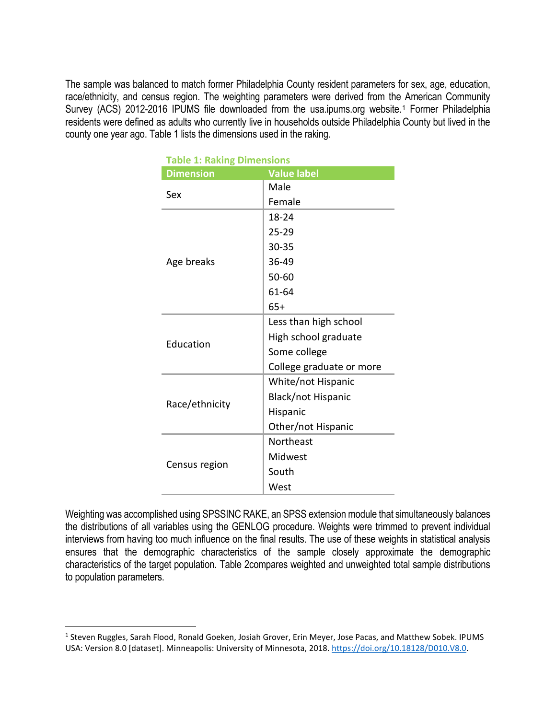The sample was balanced to match former Philadelphia County resident parameters for sex, age, education, race/ethnicity, and census region. The weighting parameters were derived from the American Community Survey (ACS) 20[1](#page-1-0)2-2016 IPUMS file downloaded from the usa.ipums.org website.<sup>1</sup> Former Philadelphia residents were defined as adults who currently live in households outside Philadelphia County but lived in the county one year ago. Table 1 lists the dimensions used in the raking.

| LADIC I. NAKING DINICIDIONS |                          |  |  |  |  |  |
|-----------------------------|--------------------------|--|--|--|--|--|
| <b>Dimension</b>            | <b>Value label</b>       |  |  |  |  |  |
| Sex                         | Male                     |  |  |  |  |  |
|                             | Female                   |  |  |  |  |  |
|                             | 18-24                    |  |  |  |  |  |
|                             | $25 - 29$                |  |  |  |  |  |
|                             | 30-35                    |  |  |  |  |  |
| Age breaks                  | 36-49                    |  |  |  |  |  |
|                             | 50-60                    |  |  |  |  |  |
|                             | 61-64                    |  |  |  |  |  |
|                             | $65+$                    |  |  |  |  |  |
|                             | Less than high school    |  |  |  |  |  |
| Education                   | High school graduate     |  |  |  |  |  |
|                             | Some college             |  |  |  |  |  |
|                             | College graduate or more |  |  |  |  |  |
|                             | White/not Hispanic       |  |  |  |  |  |
| Race/ethnicity              | Black/not Hispanic       |  |  |  |  |  |
|                             | Hispanic                 |  |  |  |  |  |
|                             | Other/not Hispanic       |  |  |  |  |  |
|                             | Northeast                |  |  |  |  |  |
|                             | Midwest                  |  |  |  |  |  |
| Census region               | South                    |  |  |  |  |  |
|                             | West                     |  |  |  |  |  |

|  | <b>Table 1: Raking Dimensions</b> |  |
|--|-----------------------------------|--|

Weighting was accomplished using SPSSINC RAKE, an SPSS extension module that simultaneously balances the distributions of all variables using the GENLOG procedure. Weights were trimmed to prevent individual interviews from having too much influence on the final results. The use of these weights in statistical analysis ensures that the demographic characteristics of the sample closely approximate the demographic characteristics of the target population. Table 2compares weighted and unweighted total sample distributions to population parameters.

 $\overline{a}$ 

<span id="page-1-0"></span><sup>&</sup>lt;sup>1</sup> Steven Ruggles, Sarah Flood, Ronald Goeken, Josiah Grover, Erin Meyer, Jose Pacas, and Matthew Sobek. IPUMS USA: Version 8.0 [dataset]. Minneapolis: University of Minnesota, 2018[. https://doi.org/10.18128/D010.V8.0.](https://doi.org/10.18128/D010.V8.0)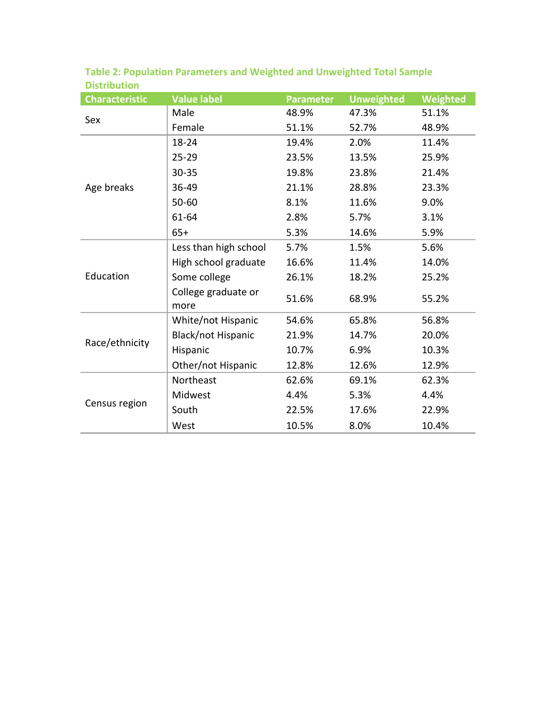| <b>Characteristic</b> | <b>Value label</b>          | <b>Parameter</b> | <b>Unweighted</b> | Weighted |
|-----------------------|-----------------------------|------------------|-------------------|----------|
| Sex                   | Male                        | 48.9%            | 47.3%             | 51.1%    |
|                       | Female                      | 51.1%            | 52.7%             | 48.9%    |
| Age breaks            | $18 - 24$                   | 19.4%            | 2.0%              | 11.4%    |
|                       | $25 - 29$                   | 23.5%            | 13.5%             | 25.9%    |
|                       | $30 - 35$                   | 19.8%            | 23.8%             | 21.4%    |
|                       | 36-49                       | 21.1%            | 28.8%             | 23.3%    |
|                       | $50 - 60$                   | 8.1%             | 11.6%             | 9.0%     |
|                       | 61-64                       | 2.8%             | 5.7%              | 3.1%     |
|                       | $65+$                       | 5.3%             | 14.6%             | 5.9%     |
| Education             | Less than high school       | 5.7%             | 1.5%              | 5.6%     |
|                       | High school graduate        | 16.6%            | 11.4%             | 14.0%    |
|                       | Some college                | 26.1%            | 18.2%             | 25.2%    |
|                       | College graduate or<br>more | 51.6%            | 68.9%             | 55.2%    |
| Race/ethnicity        | White/not Hispanic          | 54.6%            | 65.8%             | 56.8%    |
|                       | Black/not Hispanic          | 21.9%            | 14.7%             | 20.0%    |
|                       | Hispanic                    | 10.7%            | 6.9%              | 10.3%    |
|                       | Other/not Hispanic          | 12.8%            | 12.6%             | 12.9%    |
| Census region         | Northeast                   | 62.6%            | 69.1%             | 62.3%    |
|                       | Midwest                     | 4.4%             | 5.3%              | 4.4%     |
|                       | South                       | 22.5%            | 17.6%             | 22.9%    |
|                       | West                        | 10.5%            | 8.0%              | 10.4%    |

**Table 2: Population Parameters and Weighted and Unweighted Total Sample Distribution**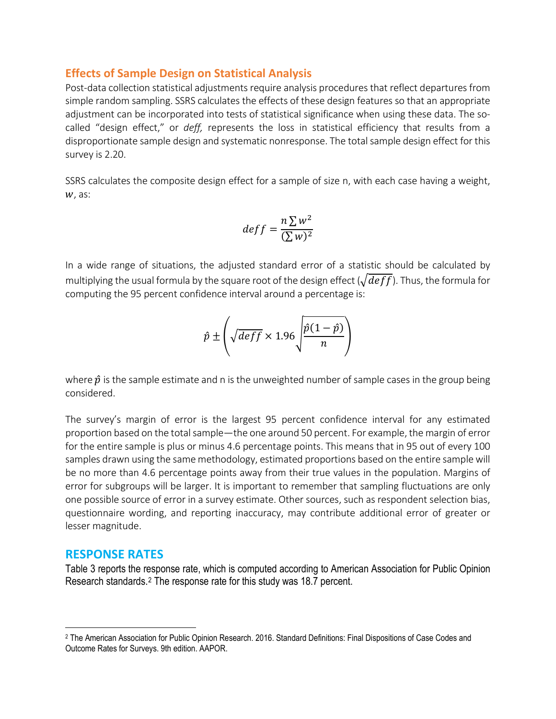### **Effects of Sample Design on Statistical Analysis**

Post-data collection statistical adjustments require analysis procedures that reflect departures from simple random sampling. SSRS calculates the effects of these design features so that an appropriate adjustment can be incorporated into tests of statistical significance when using these data. The socalled "design effect," or *deff,* represents the loss in statistical efficiency that results from a disproportionate sample design and systematic nonresponse. The total sample design effect for this survey is 2.20.

SSRS calculates the composite design effect for a sample of size n, with each case having a weight,  $W$ , as:

$$
deff = \frac{n \sum w^2}{(\sum w)^2}
$$

In a wide range of situations, the adjusted standard error of a statistic should be calculated by multiplying the usual formula by the square root of the design effect  $(\sqrt{deff})$ . Thus, the formula for computing the 95 percent confidence interval around a percentage is:

$$
\hat{p} \pm \left(\sqrt{\text{deff}} \times 1.96 \sqrt{\frac{\hat{p}(1-\hat{p})}{n}}\right)
$$

where  $\hat{p}$  is the sample estimate and n is the unweighted number of sample cases in the group being considered.

The survey's margin of error is the largest 95 percent confidence interval for any estimated proportion based on the total sample—the one around 50 percent. For example, the margin of error for the entire sample is plus or minus 4.6 percentage points. This means that in 95 out of every 100 samples drawn using the same methodology, estimated proportions based on the entire sample will be no more than 4.6 percentage points away from their true values in the population. Margins of error for subgroups will be larger. It is important to remember that sampling fluctuations are only one possible source of error in a survey estimate. Other sources, such as respondent selection bias, questionnaire wording, and reporting inaccuracy, may contribute additional error of greater or lesser magnitude.

### **RESPONSE RATES**

 $\overline{a}$ 

Table 3 reports the response rate, which is computed according to American Association for Public Opinion Research standards.[2](#page-3-0) The response rate for this study was 18.7 percent.

<span id="page-3-0"></span><sup>2</sup> The American Association for Public Opinion Research. 2016. Standard Definitions: Final Dispositions of Case Codes and Outcome Rates for Surveys. 9th edition. AAPOR.